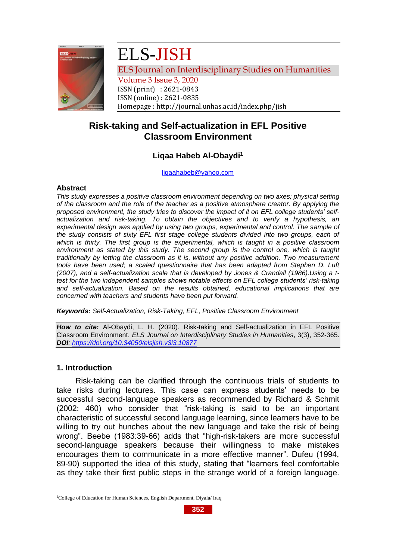

# ELS-JISH

ELS Journal on Interdisciplinary Studies on Humanities

Volume 3 Issue 3, 2020 ISSN (print) : 2621-0843 ISSN (online) : 2621-0835 Homepage : http://journal.unhas.ac.id/index.php/jish

# **Risk-taking and Self-actualization in EFL Positive Classroom Environment**

# **Liqaa Habeb Al-Obaydi<sup>1</sup>**

[liqaahabeb@yahoo.com](mailto:liqaahabeb@yahoo.com)

# **Abstract**

*This study expresses a positive classroom environment depending on two axes; physical setting of the classroom and the role of the teacher as a positive atmosphere creator. By applying the proposed environment, the study tries to discover the impact of it on EFL college students' selfactualization and risk-taking. To obtain the objectives and to verify a hypothesis, an experimental design was applied by using two groups, experimental and control. The sample of the study consists of sixty EFL first stage college students divided into two groups, each of which is thirty. The first group is the experimental, which is taught in a positive classroom*  environment as stated by this study. The second group is the control one, which is taught *traditionally by letting the classroom as it is, without any positive addition. Two measurement tools have been used; a scaled questionnaire that has been adapted from Stephen D. Luft (2007), and a self-actualization scale that is developed by Jones & Crandall (1986).Using a ttest for the two independent samples shows notable effects on EFL college students' risk-taking and self-actualization. Based on the results obtained, educational implications that are concerned with teachers and students have been put forward.*

*Keywords: Self-Actualization, Risk-Taking, EFL, Positive Classroom Environment*

*How to cite:* Al-Obaydi, L. H. (2020). Risk-taking and Self-actualization in EFL Positive Classroom Environment. *ELS Journal on Interdisciplinary Studies in Humanities*, 3(3), 352-365. *DOI:<https://doi.org/10.34050/elsjish.v3i3.10877>*

# **1. Introduction**

Risk-taking can be clarified through the continuous trials of students to take risks during lectures. This case can express students' needs to be successful second-language speakers as recommended by Richard & Schmit (2002: 460) who consider that "risk-taking is said to be an important characteristic of successful second language learning, since learners have to be willing to try out hunches about the new language and take the risk of being wrong". Beebe (1983:39-66) adds that "high-risk-takers are more successful second-language speakers because their willingness to make mistakes encourages them to communicate in a more effective manner". Dufeu (1994, 89-90) supported the idea of this study, stating that "learners feel comfortable as they take their first public steps in the strange world of a foreign language.

<sup>&</sup>lt;sup>1</sup>College of Education for Human Sciences, English Department, Diyala/ Iraq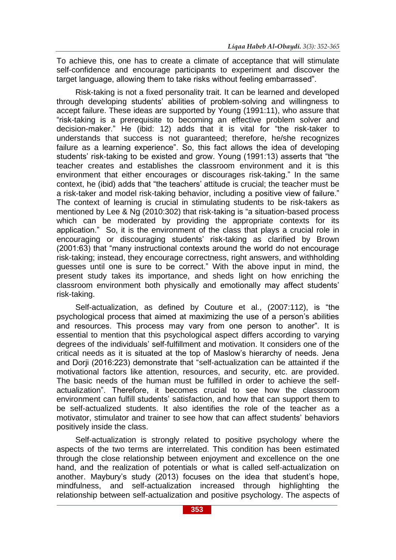To achieve this, one has to create a climate of acceptance that will stimulate self-confidence and encourage participants to experiment and discover the target language, allowing them to take risks without feeling embarrassed".

Risk-taking is not a fixed personality trait. It can be learned and developed through developing students' abilities of problem-solving and willingness to accept failure. These ideas are supported by Young (1991:11), who assure that "risk-taking is a prerequisite to becoming an effective problem solver and decision-maker." He (ibid: 12) adds that it is vital for "the risk-taker to understands that success is not guaranteed; therefore, he/she recognizes failure as a learning experience". So, this fact allows the idea of developing students' risk-taking to be existed and grow. Young (1991:13) asserts that "the teacher creates and establishes the classroom environment and it is this environment that either encourages or discourages risk-taking." In the same context, he (ibid) adds that "the teachers' attitude is crucial; the teacher must be a risk-taker and model risk-taking behavior, including a positive view of failure." The context of learning is crucial in stimulating students to be risk-takers as mentioned by Lee & Ng (2010:302) that risk-taking is "a situation-based process which can be moderated by providing the appropriate contexts for its application." So, it is the environment of the class that plays a crucial role in encouraging or discouraging students' risk-taking as clarified by Brown (2001:63) that "many instructional contexts around the world do not encourage risk-taking; instead, they encourage correctness, right answers, and withholding guesses until one is sure to be correct." With the above input in mind, the present study takes its importance, and sheds light on how enriching the classroom environment both physically and emotionally may affect students' risk-taking.

Self-actualization, as defined by Couture et al., (2007:112), is "the psychological process that aimed at maximizing the use of a person's abilities and resources. This process may vary from one person to another". It is essential to mention that this psychological aspect differs according to varying degrees of the individuals' self-fulfillment and motivation. It considers one of the critical needs as it is situated at the top of Maslow's hierarchy of needs. Jena and Dorji (2016:223) demonstrate that "self-actualization can be attainted if the motivational factors like attention, resources, and security, etc. are provided. The basic needs of the human must be fulfilled in order to achieve the selfactualization". Therefore, it becomes crucial to see how the classroom environment can fulfill students' satisfaction, and how that can support them to be self-actualized students. It also identifies the role of the teacher as a motivator, stimulator and trainer to see how that can affect students' behaviors positively inside the class.

Self-actualization is strongly related to positive psychology where the aspects of the two terms are interrelated. This condition has been estimated through the close relationship between enjoyment and excellence on the one hand, and the realization of potentials or what is called self-actualization on another. Maybury's study (2013) focuses on the idea that student's hope, mindfulness, and self-actualization increased through highlighting the relationship between self-actualization and positive psychology. The aspects of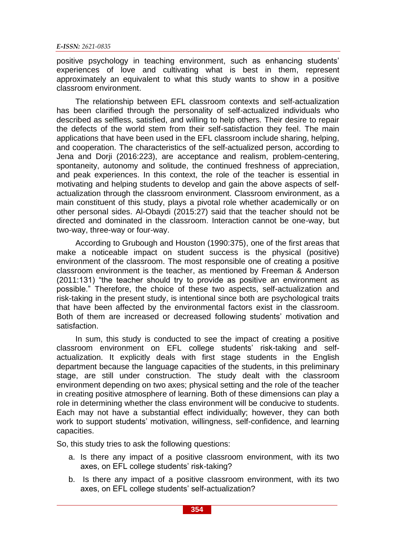positive psychology in teaching environment, such as enhancing students' experiences of love and cultivating what is best in them, represent approximately an equivalent to what this study wants to show in a positive classroom environment.

The relationship between EFL classroom contexts and self-actualization has been clarified through the personality of self-actualized individuals who described as selfless, satisfied, and willing to help others. Their desire to repair the defects of the world stem from their self-satisfaction they feel. The main applications that have been used in the EFL classroom include sharing, helping, and cooperation. The characteristics of the self-actualized person, according to Jena and Dorii (2016:223), are acceptance and realism, problem-centering, spontaneity, autonomy and solitude, the continued freshness of appreciation, and peak experiences. In this context, the role of the teacher is essential in motivating and helping students to develop and gain the above aspects of selfactualization through the classroom environment. Classroom environment, as a main constituent of this study, plays a pivotal role whether academically or on other personal sides. Al-Obaydi (2015:27) said that the teacher should not be directed and dominated in the classroom. Interaction cannot be one-way, but two-way, three-way or four-way.

According to Grubough and Houston (1990:375), one of the first areas that make a noticeable impact on student success is the physical (positive) environment of the classroom. The most responsible one of creating a positive classroom environment is the teacher, as mentioned by Freeman & Anderson (2011:131) "the teacher should try to provide as positive an environment as possible." Therefore, the choice of these two aspects, self-actualization and risk-taking in the present study, is intentional since both are psychological traits that have been affected by the environmental factors exist in the classroom. Both of them are increased or decreased following students' motivation and satisfaction.

In sum, this study is conducted to see the impact of creating a positive classroom environment on EFL college students' risk-taking and selfactualization. It explicitly deals with first stage students in the English department because the language capacities of the students, in this preliminary stage, are still under construction. The study dealt with the classroom environment depending on two axes; physical setting and the role of the teacher in creating positive atmosphere of learning. Both of these dimensions can play a role in determining whether the class environment will be conducive to students. Each may not have a substantial effect individually; however, they can both work to support students' motivation, willingness, self-confidence, and learning capacities.

So, this study tries to ask the following questions:

- a. Is there any impact of a positive classroom environment, with its two axes, on EFL college students' risk-taking?
- b. Is there any impact of a positive classroom environment, with its two axes, on EFL college students' self-actualization?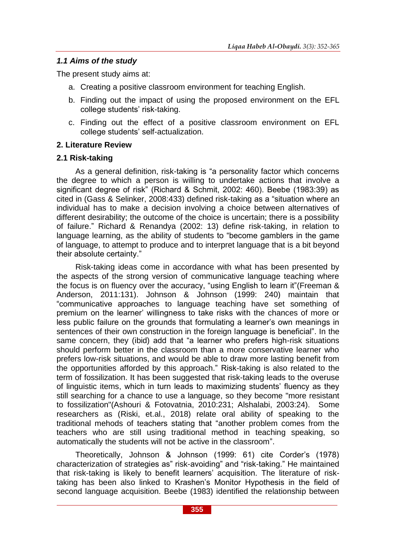# *1.1 Aims of the study*

The present study aims at:

- a. Creating a positive classroom environment for teaching English.
- b. Finding out the impact of using the proposed environment on the EFL college students' risk-taking.
- c. Finding out the effect of a positive classroom environment on EFL college students' self-actualization.

# **2. Literature Review**

# **2.1 Risk-taking**

As a general definition, risk-taking is "a personality factor which concerns the degree to which a person is willing to undertake actions that involve a significant degree of risk" (Richard & Schmit, 2002: 460). Beebe (1983:39) as cited in (Gass & Selinker, 2008:433) defined risk-taking as a "situation where an individual has to make a decision involving a choice between alternatives of different desirability; the outcome of the choice is uncertain; there is a possibility of failure." Richard & Renandya (2002: 13) define risk-taking, in relation to language learning, as the ability of students to "become gamblers in the game of language, to attempt to produce and to interpret language that is a bit beyond their absolute certainty."

Risk-taking ideas come in accordance with what has been presented by the aspects of the strong version of communicative language teaching where the focus is on fluency over the accuracy, "using English to learn it"(Freeman & Anderson, 2011:131). Johnson & Johnson (1999: 240) maintain that "communicative approaches to language teaching have set something of premium on the learner' willingness to take risks with the chances of more or less public failure on the grounds that formulating a learner's own meanings in sentences of their own construction in the foreign language is beneficial". In the same concern, they (ibid) add that "a learner who prefers high-risk situations should perform better in the classroom than a more conservative learner who prefers low-risk situations, and would be able to draw more lasting benefit from the opportunities afforded by this approach." Risk-taking is also related to the term of fossilization. It has been suggested that risk-taking leads to the overuse of linguistic items, which in turn leads to maximizing students' fluency as they still searching for a chance to use a language, so they become "more resistant to fossilization"(Ashouri & Fotovatnia, 2010:231; Alshalabi, 2003:24). Some researchers as (Riski, et.al., 2018) relate oral ability of speaking to the traditional mehods of teachers stating that "another problem comes from the teachers who are still using traditional method in teaching speaking, so automatically the students will not be active in the classroom".

Theoretically, Johnson & Johnson (1999: 61) cite Corder's (1978) characterization of strategies as" risk-avoiding" and "risk-taking." He maintained that risk-taking is likely to benefit learners' acquisition. The literature of risktaking has been also linked to Krashen's Monitor Hypothesis in the field of second language acquisition. Beebe (1983) identified the relationship between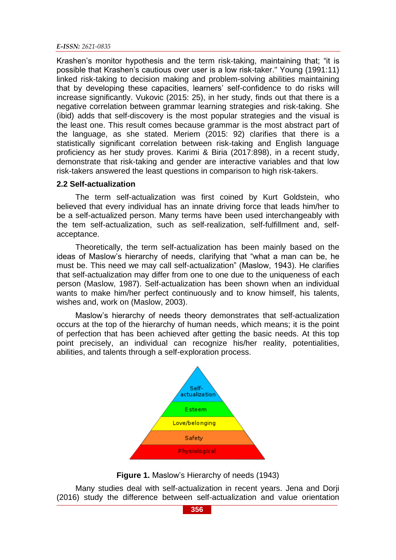#### *E-ISSN: 2621-0835*

Krashen's monitor hypothesis and the term risk-taking, maintaining that; "it is possible that Krashen's cautious over user is a low risk-taker." Young (1991:11) linked risk-taking to decision making and problem-solving abilities maintaining that by developing these capacities, learners' self-confidence to do risks will increase significantly. Vukovic (2015: 25), in her study, finds out that there is a negative correlation between grammar learning strategies and risk-taking. She (ibid) adds that self-discovery is the most popular strategies and the visual is the least one. This result comes because grammar is the most abstract part of the language, as she stated. Meriem (2015: 92) clarifies that there is a statistically significant correlation between risk-taking and English language proficiency as her study proves. Karimi & Biria (2017:898), in a recent study, demonstrate that risk-taking and gender are interactive variables and that low risk-takers answered the least questions in comparison to high risk-takers.

#### **2.2 Self-actualization**

The term self-actualization was first coined by Kurt Goldstein, who believed that every individual has an innate driving force that leads him/her to be a self-actualized person. Many terms have been used interchangeably with the tem self-actualization, such as self-realization, self-fulfillment and, selfacceptance.

Theoretically, the term self-actualization has been mainly based on the ideas of Maslow's hierarchy of needs, clarifying that "what a man can be, he must be. This need we may call self-actualization" (Maslow, 1943). He clarifies that self-actualization may differ from one to one due to the uniqueness of each person (Maslow, 1987). Self-actualization has been shown when an individual wants to make him/her perfect continuously and to know himself, his talents, wishes and, work on (Maslow, 2003).

Maslow's hierarchy of needs theory demonstrates that self-actualization occurs at the top of the hierarchy of human needs, which means; it is the point of perfection that has been achieved after getting the basic needs. At this top point precisely, an individual can recognize his/her reality, potentialities, abilities, and talents through a self-exploration process.



**Figure 1.** Maslow's Hierarchy of needs (1943)

Many studies deal with self-actualization in recent years. Jena and Dorji (2016) study the difference between self-actualization and value orientation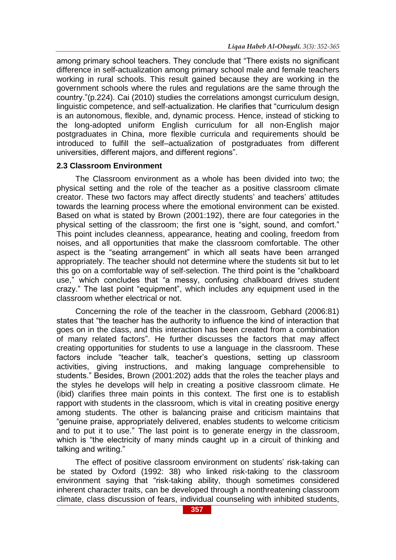among primary school teachers. They conclude that "There exists no significant difference in self-actualization among primary school male and female teachers working in rural schools. This result gained because they are working in the government schools where the rules and regulations are the same through the country."(p.224). Cai (2010) studies the correlations amongst curriculum design, linguistic competence, and self-actualization. He clarifies that "curriculum design is an autonomous, flexible, and, dynamic process. Hence, instead of sticking to the long-adopted uniform English curriculum for all non-English major postgraduates in China, more flexible curricula and requirements should be introduced to fulfill the self–actualization of postgraduates from different universities, different majors, and different regions".

#### **2.3 Classroom Environment**

The Classroom environment as a whole has been divided into two; the physical setting and the role of the teacher as a positive classroom climate creator. These two factors may affect directly students' and teachers' attitudes towards the learning process where the emotional environment can be existed. Based on what is stated by Brown (2001:192), there are four categories in the physical setting of the classroom; the first one is "sight, sound, and comfort." This point includes cleanness, appearance, heating and cooling, freedom from noises, and all opportunities that make the classroom comfortable. The other aspect is the "seating arrangement" in which all seats have been arranged appropriately. The teacher should not determine where the students sit but to let this go on a comfortable way of self-selection. The third point is the "chalkboard use," which concludes that "a messy, confusing chalkboard drives student crazy." The last point "equipment", which includes any equipment used in the classroom whether electrical or not.

Concerning the role of the teacher in the classroom, Gebhard (2006:81) states that "the teacher has the authority to influence the kind of interaction that goes on in the class, and this interaction has been created from a combination of many related factors". He further discusses the factors that may affect creating opportunities for students to use a language in the classroom. These factors include "teacher talk, teacher's questions, setting up classroom activities, giving instructions, and making language comprehensible to students." Besides, Brown (2001:202) adds that the roles the teacher plays and the styles he develops will help in creating a positive classroom climate. He (ibid) clarifies three main points in this context. The first one is to establish rapport with students in the classroom, which is vital in creating positive energy among students. The other is balancing praise and criticism maintains that "genuine praise, appropriately delivered, enables students to welcome criticism and to put it to use." The last point is to generate energy in the classroom, which is "the electricity of many minds caught up in a circuit of thinking and talking and writing."

The effect of positive classroom environment on students' risk-taking can be stated by Oxford (1992: 38) who linked risk-taking to the classroom environment saying that "risk-taking ability, though sometimes considered inherent character traits, can be developed through a nonthreatening classroom climate, class discussion of fears, individual counseling with inhibited students,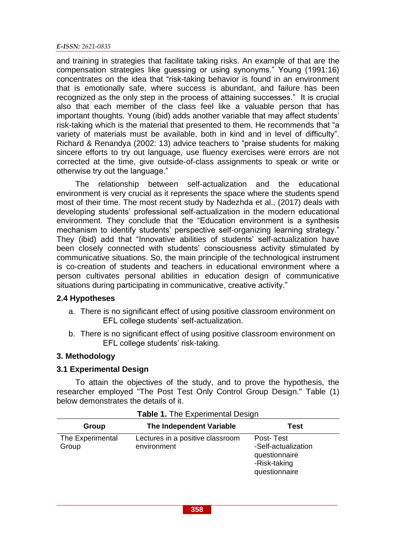#### *E-ISSN: 2621-0835*

and training in strategies that facilitate taking risks. An example of that are the compensation strategies like guessing or using synonyms." Young (1991:16) concentrates on the idea that "risk-taking behavior is found in an environment that is emotionally safe, where success is abundant, and failure has been recognized as the only step in the process of attaining successes." It is crucial also that each member of the class feel like a valuable person that has important thoughts. Young (ibid) adds another variable that may affect students' risk-taking which is the material that presented to them. He recommends that "a variety of materials must be available, both in kind and in level of difficulty". Richard & Renandya (2002: 13) advice teachers to "praise students for making sincere efforts to try out language, use fluency exercises were errors are not corrected at the time, give outside-of-class assignments to speak or write or otherwise try out the language."

The relationship between self-actualization and the educational environment is very crucial as it represents the space where the students spend most of their time. The most recent study by Nadezhda et al., (2017) deals with developing students' professional self-actualization in the modern educational environment. They conclude that the "Education environment is a synthesis mechanism to identify students' perspective self-organizing learning strategy." They (ibid) add that "Innovative abilities of students' self-actualization have been closely connected with students' consciousness activity stimulated by communicative situations. So, the main principle of the technological instrument is co-creation of students and teachers in educational environment where a person cultivates personal abilities in education design of communicative situations during participating in communicative, creative activity."

#### **2.4 Hypotheses**

- a. There is no significant effect of using positive classroom environment on EFL college students' self-actualization.
- b. There is no significant effect of using positive classroom environment on EFL college students' risk-taking.

# **3. Methodology**

#### **3.1 Experimental Design**

To attain the objectives of the study, and to prove the hypothesis, the researcher employed "The Post Test Only Control Group Design." Table (1) below demonstrates the details of it.

| The Independent Variable<br>Test<br>Group                                                                                                                          |  |
|--------------------------------------------------------------------------------------------------------------------------------------------------------------------|--|
|                                                                                                                                                                    |  |
| Lectures in a positive classroom<br>The Experimental<br>Post-Test<br>-Self-actualization<br>environment<br>Group<br>questionnaire<br>-Risk-taking<br>questionnaire |  |

|  | Table 1. The Experimental Design |  |
|--|----------------------------------|--|
|  |                                  |  |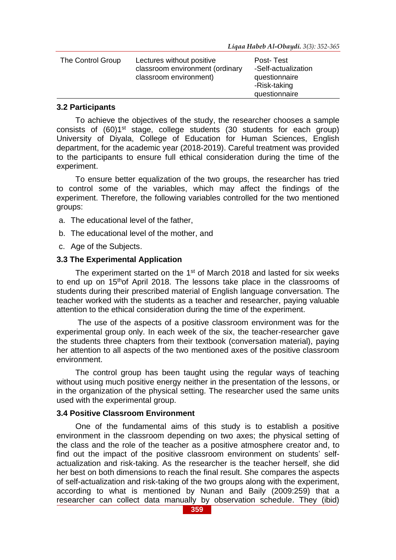| The Control Group | Lectures without positive<br>classroom environment (ordinary<br>classroom environment) | Post-Test<br>-Self-actualization<br>questionnaire<br>-Risk-taking |
|-------------------|----------------------------------------------------------------------------------------|-------------------------------------------------------------------|
|                   |                                                                                        | questionnaire                                                     |

#### **3.2 Participants**

To achieve the objectives of the study, the researcher chooses a sample consists of (60)1<sup>st</sup> stage, college students (30 students for each group) University of Diyala, College of Education for Human Sciences, English department, for the academic year (2018-2019). Careful treatment was provided to the participants to ensure full ethical consideration during the time of the experiment.

To ensure better equalization of the two groups, the researcher has tried to control some of the variables, which may affect the findings of the experiment. Therefore, the following variables controlled for the two mentioned groups:

- a. The educational level of the father,
- b. The educational level of the mother, and
- c. Age of the Subjects.

#### **3.3 The Experimental Application**

The experiment started on the 1<sup>st</sup> of March 2018 and lasted for six weeks to end up on 15thof April 2018. The lessons take place in the classrooms of students during their prescribed material of English language conversation. The teacher worked with the students as a teacher and researcher, paying valuable attention to the ethical consideration during the time of the experiment.

The use of the aspects of a positive classroom environment was for the experimental group only. In each week of the six, the teacher-researcher gave the students three chapters from their textbook (conversation material), paying her attention to all aspects of the two mentioned axes of the positive classroom environment.

The control group has been taught using the regular ways of teaching without using much positive energy neither in the presentation of the lessons, or in the organization of the physical setting. The researcher used the same units used with the experimental group.

#### **3.4 Positive Classroom Environment**

One of the fundamental aims of this study is to establish a positive environment in the classroom depending on two axes; the physical setting of the class and the role of the teacher as a positive atmosphere creator and, to find out the impact of the positive classroom environment on students' selfactualization and risk-taking. As the researcher is the teacher herself, she did her best on both dimensions to reach the final result. She compares the aspects of self-actualization and risk-taking of the two groups along with the experiment, according to what is mentioned by Nunan and Baily (2009:259) that a researcher can collect data manually by observation schedule. They (ibid)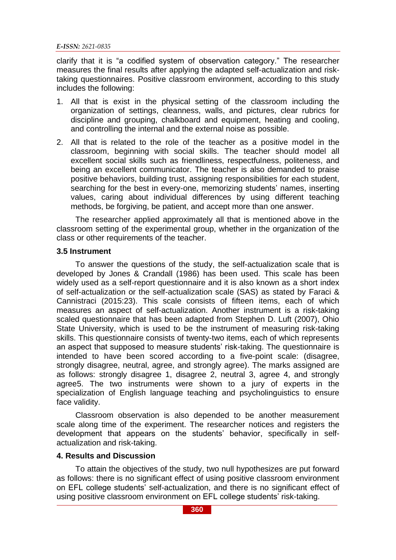clarify that it is "a codified system of observation category." The researcher measures the final results after applying the adapted self-actualization and risktaking questionnaires. Positive classroom environment, according to this study includes the following:

- 1. All that is exist in the physical setting of the classroom including the organization of settings, cleanness, walls, and pictures, clear rubrics for discipline and grouping, chalkboard and equipment, heating and cooling, and controlling the internal and the external noise as possible.
- 2. All that is related to the role of the teacher as a positive model in the classroom, beginning with social skills. The teacher should model all excellent social skills such as friendliness, respectfulness, politeness, and being an excellent communicator. The teacher is also demanded to praise positive behaviors, building trust, assigning responsibilities for each student, searching for the best in every-one, memorizing students' names, inserting values, caring about individual differences by using different teaching methods, be forgiving, be patient, and accept more than one answer.

The researcher applied approximately all that is mentioned above in the classroom setting of the experimental group, whether in the organization of the class or other requirements of the teacher.

#### **3.5 Instrument**

To answer the questions of the study, the self-actualization scale that is developed by Jones & Crandall (1986) has been used. This scale has been widely used as a self-report questionnaire and it is also known as a short index of self-actualization or the self-actualization scale (SAS) as stated by Faraci & Cannistraci (2015:23). This scale consists of fifteen items, each of which measures an aspect of self-actualization. Another instrument is a risk-taking scaled questionnaire that has been adapted from Stephen D. Luft (2007), Ohio State University, which is used to be the instrument of measuring risk-taking skills. This questionnaire consists of twenty-two items, each of which represents an aspect that supposed to measure students' risk-taking. The questionnaire is intended to have been scored according to a five-point scale: (disagree, strongly disagree, neutral, agree, and strongly agree). The marks assigned are as follows: strongly disagree 1, disagree 2, neutral 3, agree 4, and strongly agree5. The two instruments were shown to a jury of experts in the specialization of English language teaching and psycholinguistics to ensure face validity.

Classroom observation is also depended to be another measurement scale along time of the experiment. The researcher notices and registers the development that appears on the students' behavior, specifically in selfactualization and risk-taking.

#### **4. Results and Discussion**

To attain the objectives of the study, two null hypothesizes are put forward as follows: there is no significant effect of using positive classroom environment on EFL college students' self-actualization, and there is no significant effect of using positive classroom environment on EFL college students' risk-taking.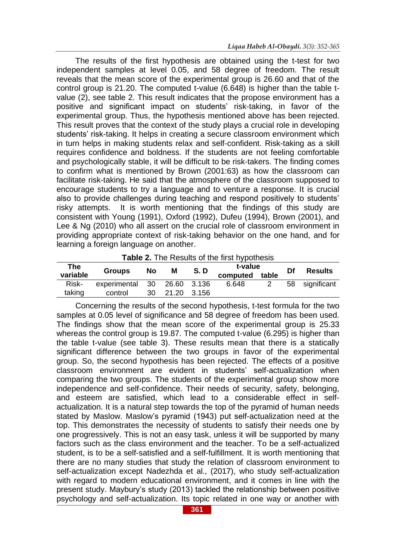The results of the first hypothesis are obtained using the t-test for two independent samples at level 0.05, and 58 degree of freedom. The result reveals that the mean score of the experimental group is 26.60 and that of the control group is 21.20. The computed t-value (6.648) is higher than the table tvalue (2), see table 2. This result indicates that the propose environment has a positive and significant impact on students' risk-taking, in favor of the experimental group. Thus, the hypothesis mentioned above has been rejected. This result proves that the context of the study plays a crucial role in developing students' risk-taking. It helps in creating a secure classroom environment which in turn helps in making students relax and self-confident. Risk-taking as a skill requires confidence and boldness. If the students are not feeling comfortable and psychologically stable, it will be difficult to be risk-takers. The finding comes to confirm what is mentioned by Brown (2001:63) as how the classroom can facilitate risk-taking. He said that the atmosphere of the classroom supposed to encourage students to try a language and to venture a response. It is crucial also to provide challenges during teaching and respond positively to students' risky attempts. It is worth mentioning that the findings of this study are consistent with Young (1991), Oxford (1992), Dufeu (1994), Brown (2001), and Lee & Ng (2010) who all assert on the crucial role of classroom environment in providing appropriate context of risk-taking behavior on the one hand, and for learning a foreign language on another.

| <b>Table 2.</b> The Results of the first hypothesis |                 |    |             |        |          |       |    |                |
|-----------------------------------------------------|-----------------|----|-------------|--------|----------|-------|----|----------------|
| The                                                 | <b>Groups</b>   | No | м           | S.D    | t-value  |       | Df | <b>Results</b> |
| variable                                            |                 |    |             |        | computed | table |    |                |
| Risk-                                               | experimental 30 |    | 26.60 3.136 |        | 6.648    |       |    | 58 significant |
| taking                                              | control         | 30 | 21.20       | -3.156 |          |       |    |                |

Concerning the results of the second hypothesis, t-test formula for the two samples at 0.05 level of significance and 58 degree of freedom has been used. The findings show that the mean score of the experimental group is 25.33 whereas the control group is 19.87. The computed t-value (6.295) is higher than the table t-value (see table 3). These results mean that there is a statically significant difference between the two groups in favor of the experimental group. So, the second hypothesis has been rejected. The effects of a positive classroom environment are evident in students' self-actualization when comparing the two groups. The students of the experimental group show more independence and self-confidence. Their needs of security, safety, belonging, and esteem are satisfied, which lead to a considerable effect in selfactualization. It is a natural step towards the top of the pyramid of human needs stated by Maslow. Maslow's pyramid (1943) put self-actualization need at the top. This demonstrates the necessity of students to satisfy their needs one by one progressively. This is not an easy task, unless it will be supported by many factors such as the class environment and the teacher. To be a self-actualized student, is to be a self-satisfied and a self-fulfillment. It is worth mentioning that there are no many studies that study the relation of classroom environment to self-actualization except Nadezhda et al., (2017), who study self-actualization with regard to modern educational environment, and it comes in line with the present study. Maybury's study (2013) tackled the relationship between positive psychology and self-actualization. Its topic related in one way or another with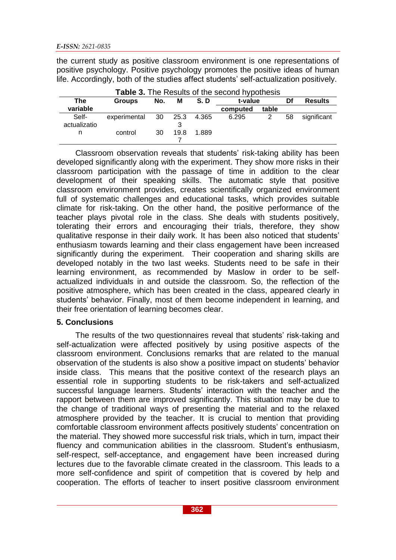the current study as positive classroom environment is one representations of positive psychology. Positive psychology promotes the positive ideas of human life. Accordingly, both of the studies affect students' self-actualization positively.

| Table 3. The Results of the second hypothesis |               |     |           |       |          |       |    |                |
|-----------------------------------------------|---------------|-----|-----------|-------|----------|-------|----|----------------|
| The                                           | <b>Groups</b> | No. | M         | S.D   | t-value  |       | Df | <b>Results</b> |
| variable                                      |               |     |           |       | computed | table |    |                |
| Self-<br>actualizatio                         | experimental  | 30  | 25.3<br>3 | 4.365 | 6.295    |       | 58 | significant    |
| n                                             | control       | 30  | 19.8      | 1.889 |          |       |    |                |

Classroom observation reveals that students' risk-taking ability has been developed significantly along with the experiment. They show more risks in their classroom participation with the passage of time in addition to the clear development of their speaking skills. The automatic style that positive classroom environment provides, creates scientifically organized environment full of systematic challenges and educational tasks, which provides suitable climate for risk-taking. On the other hand, the positive performance of the teacher plays pivotal role in the class. She deals with students positively, tolerating their errors and encouraging their trials, therefore, they show qualitative response in their daily work. It has been also noticed that students' enthusiasm towards learning and their class engagement have been increased significantly during the experiment. Their cooperation and sharing skills are developed notably in the two last weeks. Students need to be safe in their learning environment, as recommended by Maslow in order to be selfactualized individuals in and outside the classroom. So, the reflection of the positive atmosphere, which has been created in the class, appeared clearly in students' behavior. Finally, most of them become independent in learning, and their free orientation of learning becomes clear.

# **5. Conclusions**

The results of the two questionnaires reveal that students' risk-taking and self-actualization were affected positively by using positive aspects of the classroom environment. Conclusions remarks that are related to the manual observation of the students is also show a positive impact on students' behavior inside class. This means that the positive context of the research plays an essential role in supporting students to be risk-takers and self-actualized successful language learners. Students' interaction with the teacher and the rapport between them are improved significantly. This situation may be due to the change of traditional ways of presenting the material and to the relaxed atmosphere provided by the teacher. It is crucial to mention that providing comfortable classroom environment affects positively students' concentration on the material. They showed more successful risk trials, which in turn, impact their fluency and communication abilities in the classroom. Student's enthusiasm, self-respect, self-acceptance, and engagement have been increased during lectures due to the favorable climate created in the classroom. This leads to a more self-confidence and spirit of competition that is covered by help and cooperation. The efforts of teacher to insert positive classroom environment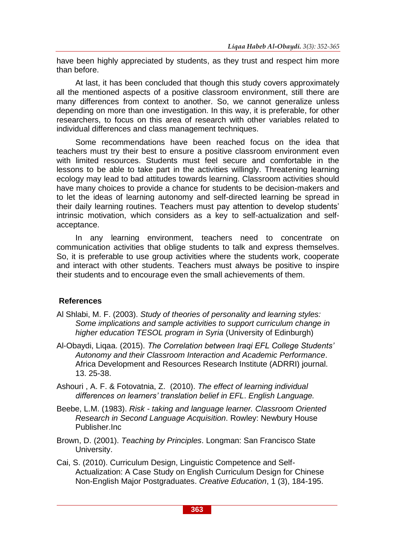have been highly appreciated by students, as they trust and respect him more than before.

At last, it has been concluded that though this study covers approximately all the mentioned aspects of a positive classroom environment, still there are many differences from context to another. So, we cannot generalize unless depending on more than one investigation. In this way, it is preferable, for other researchers, to focus on this area of research with other variables related to individual differences and class management techniques.

Some recommendations have been reached focus on the idea that teachers must try their best to ensure a positive classroom environment even with limited resources. Students must feel secure and comfortable in the lessons to be able to take part in the activities willingly. Threatening learning ecology may lead to bad attitudes towards learning. Classroom activities should have many choices to provide a chance for students to be decision-makers and to let the ideas of learning autonomy and self-directed learning be spread in their daily learning routines. Teachers must pay attention to develop students' intrinsic motivation, which considers as a key to self-actualization and selfacceptance.

In any learning environment, teachers need to concentrate on communication activities that oblige students to talk and express themselves. So, it is preferable to use group activities where the students work, cooperate and interact with other students. Teachers must always be positive to inspire their students and to encourage even the small achievements of them.

# **References**

- Al Shlabi, M. F. (2003). *Study of theories of personality and learning styles: Some implications and sample activities to support curriculum change in higher education TESOL program in Syria* (University of Edinburgh)
- Al-Obaydi, Liqaa. (2015). *The Correlation between Iraqi EFL College Students' Autonomy and their Classroom Interaction and Academic Performance*. Africa Development and Resources Research Institute (ADRRI) journal. 13. 25-38.
- Ashouri , A. F. & Fotovatnia, Z. (2010). *The effect of learning individual differences on learners' translation belief in EFL*. *English Language.*
- Beebe, L.M. (1983). *Risk - taking and language learner. Classroom Oriented Research in Second Language Acquisition*. Rowley: Newbury House Publisher.Inc
- Brown, D. (2001). *Teaching by Principles*. Longman: San Francisco State University.
- Cai, S. (2010). Curriculum Design, Linguistic Competence and Self-Actualization: A Case Study on English Curriculum Design for Chinese Non-English Major Postgraduates. *Creative Education*, 1 (3), 184-195.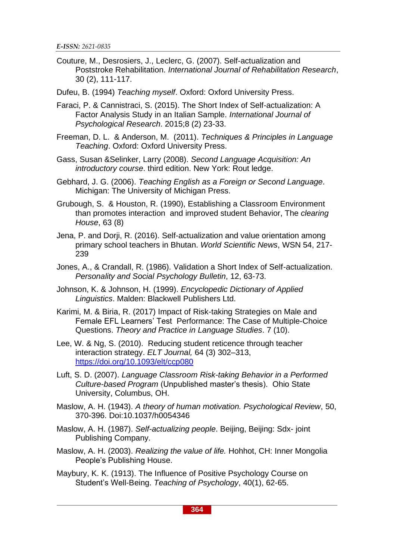Couture, M., Desrosiers, J., Leclerc, G. (2007). Self-actualization and Poststroke Rehabilitation. *International Journal of Rehabilitation Research*, 30 (2), 111-117.

Dufeu, B. (1994) *Teaching myself*. Oxford: Oxford University Press.

Faraci, P. & Cannistraci, S. (2015). The Short Index of Self-actualization: A Factor Analysis Study in an Italian Sample. *International Journal of Psychological Research*. 2015;8 (2) 23-33.

Freeman, D. L. & Anderson, M. (2011). *Techniques & Principles in Language Teaching*. Oxford: Oxford University Press.

Gass, Susan &Selinker, Larry (2008). *Second Language Acquisition: An introductory course*. third edition. New York: Rout ledge.

Gebhard, J. G. (2006). *Teaching English as a Foreign or Second Language*. Michigan: The University of Michigan Press.

Grubough, S. & Houston, R. (1990), Establishing a Classroom Environment than promotes interaction and improved student Behavior, The *clearing House*, 63 (8)

Jena, P. and Dorji, R. (2016). Self-actualization and value orientation among primary school teachers in Bhutan. *World Scientific News*, WSN 54, 217- 239

Jones, A., & Crandall, R. (1986). Validation a Short Index of Self-actualization. *Personality and Social Psychology Bulletin*, 12, 63-73.

Johnson, K. & Johnson, H. (1999). *Encyclopedic Dictionary of Applied Linguistics*. Malden: Blackwell Publishers Ltd.

Karimi, M. & Biria, R. (2017) Impact of Risk-taking Strategies on Male and Female EFL Learners' Test Performance: The Case of Multiple-Choice Questions. *Theory and Practice in Language Studies*. 7 (10).

Lee, W. & Ng, S. (2010). Reducing student reticence through teacher interaction strategy. *ELT Journal,* 64 (3) 302–313, <https://doi.org/10.1093/elt/ccp080>

Luft, S. D. (2007). *Language Classroom Risk-taking Behavior in a Performed Culture-based Program* (Unpublished master's thesis). Ohio State University, Columbus, OH.

Maslow, A. H. (1943). *A theory of human motivation. Psychological Review*, 50, 370-396. Doi:10.1037/h0054346

Maslow, A. H. (1987). *Self-actualizing people*. Beijing, Beijing: Sdx- joint Publishing Company.

Maslow, A. H. (2003). *Realizing the value of life.* Hohhot, CH: Inner Mongolia People's Publishing House.

Maybury, K. K. (1913). The Influence of Positive Psychology Course on Student's Well-Being. *Teaching of Psychology*, 40(1), 62-65.